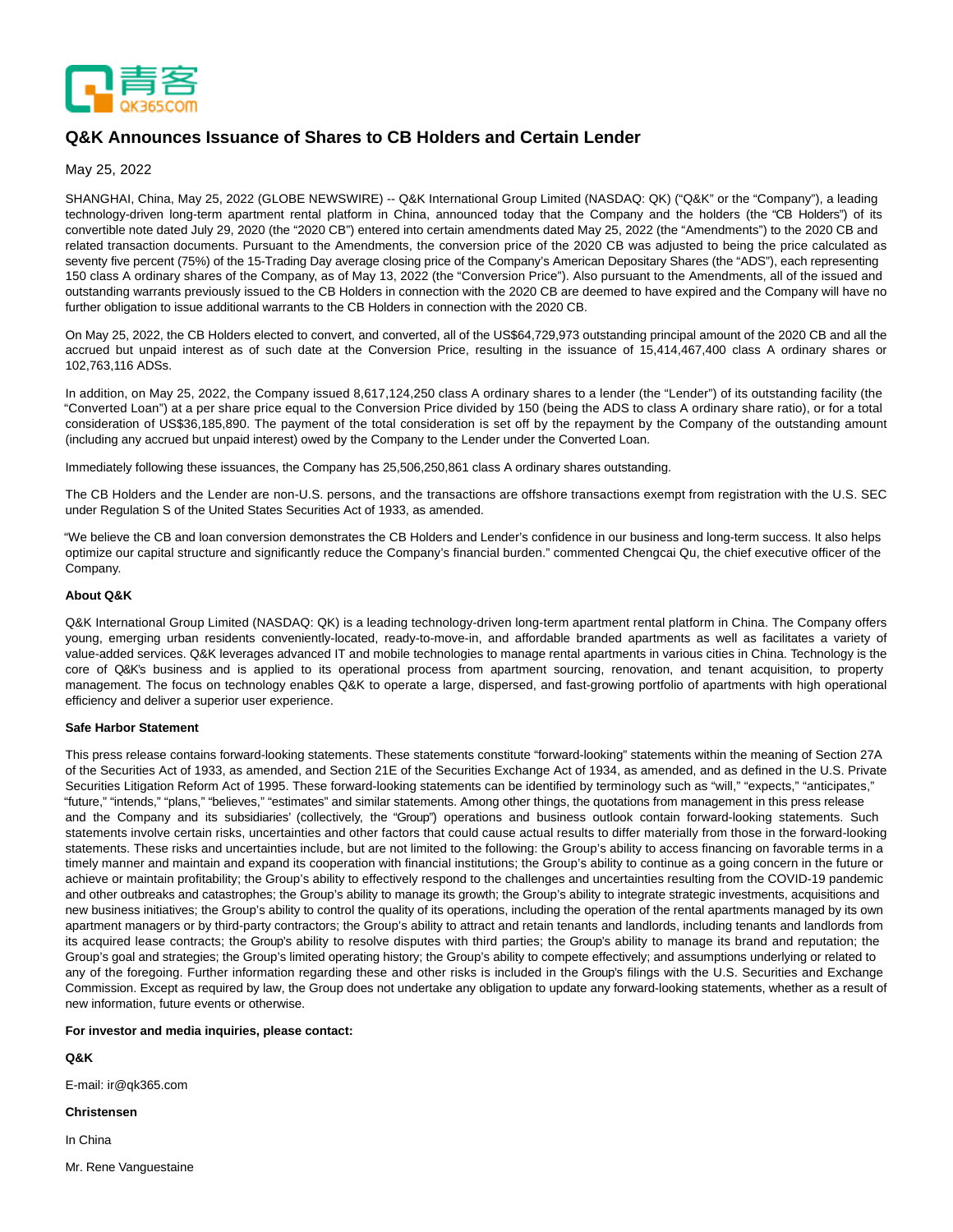

# **Q&K Announces Issuance of Shares to CB Holders and Certain Lender**

May 25, 2022

SHANGHAI, China, May 25, 2022 (GLOBE NEWSWIRE) -- Q&K International Group Limited (NASDAQ: QK) ("Q&K" or the "Company"), a leading technology-driven long-term apartment rental platform in China, announced today that the Company and the holders (the "CB Holders") of its convertible note dated July 29, 2020 (the "2020 CB") entered into certain amendments dated May 25, 2022 (the "Amendments") to the 2020 CB and related transaction documents. Pursuant to the Amendments, the conversion price of the 2020 CB was adjusted to being the price calculated as seventy five percent (75%) of the 15-Trading Day average closing price of the Company's American Depositary Shares (the "ADS"), each representing 150 class A ordinary shares of the Company, as of May 13, 2022 (the "Conversion Price"). Also pursuant to the Amendments, all of the issued and outstanding warrants previously issued to the CB Holders in connection with the 2020 CB are deemed to have expired and the Company will have no further obligation to issue additional warrants to the CB Holders in connection with the 2020 CB.

On May 25, 2022, the CB Holders elected to convert, and converted, all of the US\$64,729,973 outstanding principal amount of the 2020 CB and all the accrued but unpaid interest as of such date at the Conversion Price, resulting in the issuance of 15,414,467,400 class A ordinary shares or 102,763,116 ADSs.

In addition, on May 25, 2022, the Company issued 8,617,124,250 class A ordinary shares to a lender (the "Lender") of its outstanding facility (the "Converted Loan") at a per share price equal to the Conversion Price divided by 150 (being the ADS to class A ordinary share ratio), or for a total consideration of US\$36,185,890. The payment of the total consideration is set off by the repayment by the Company of the outstanding amount (including any accrued but unpaid interest) owed by the Company to the Lender under the Converted Loan.

Immediately following these issuances, the Company has 25,506,250,861 class A ordinary shares outstanding.

The CB Holders and the Lender are non-U.S. persons, and the transactions are offshore transactions exempt from registration with the U.S. SEC under Regulation S of the United States Securities Act of 1933, as amended.

"We believe the CB and loan conversion demonstrates the CB Holders and Lender's confidence in our business and long-term success. It also helps optimize our capital structure and significantly reduce the Company's financial burden." commented Chengcai Qu, the chief executive officer of the Company.

#### **About Q&K**

Q&K International Group Limited (NASDAQ: QK) is a leading technology-driven long-term apartment rental platform in China. The Company offers young, emerging urban residents conveniently-located, ready-to-move-in, and affordable branded apartments as well as facilitates a variety of value-added services. Q&K leverages advanced IT and mobile technologies to manage rental apartments in various cities in China. Technology is the core of Q&K's business and is applied to its operational process from apartment sourcing, renovation, and tenant acquisition, to property management. The focus on technology enables Q&K to operate a large, dispersed, and fast-growing portfolio of apartments with high operational efficiency and deliver a superior user experience.

## **Safe Harbor Statement**

This press release contains forward-looking statements. These statements constitute "forward-looking" statements within the meaning of Section 27A of the Securities Act of 1933, as amended, and Section 21E of the Securities Exchange Act of 1934, as amended, and as defined in the U.S. Private Securities Litigation Reform Act of 1995. These forward-looking statements can be identified by terminology such as "will," "expects," "anticipates," "future," "intends," "plans," "believes," "estimates" and similar statements. Among other things, the quotations from management in this press release and the Company and its subsidiaries' (collectively, the "Group") operations and business outlook contain forward-looking statements. Such statements involve certain risks, uncertainties and other factors that could cause actual results to differ materially from those in the forward-looking statements. These risks and uncertainties include, but are not limited to the following: the Group's ability to access financing on favorable terms in a timely manner and maintain and expand its cooperation with financial institutions; the Group's ability to continue as a going concern in the future or achieve or maintain profitability; the Group's ability to effectively respond to the challenges and uncertainties resulting from the COVID-19 pandemic and other outbreaks and catastrophes; the Group's ability to manage its growth; the Group's ability to integrate strategic investments, acquisitions and new business initiatives; the Group's ability to control the quality of its operations, including the operation of the rental apartments managed by its own apartment managers or by third-party contractors; the Group's ability to attract and retain tenants and landlords, including tenants and landlords from its acquired lease contracts; the Group's ability to resolve disputes with third parties; the Group's ability to manage its brand and reputation; the Group's goal and strategies; the Group's limited operating history; the Group's ability to compete effectively; and assumptions underlying or related to any of the foregoing. Further information regarding these and other risks is included in the Group's filings with the U.S. Securities and Exchange Commission. Except as required by law, the Group does not undertake any obligation to update any forward-looking statements, whether as a result of new information, future events or otherwise.

#### **For investor and media inquiries, please contact:**

**Q&K**

E-mail: ir@qk365.com

## **Christensen**

In China

Mr. Rene Vanguestaine